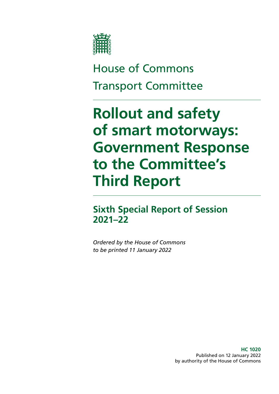

## House of Commons Transport Committee

# **Rollout and safety of smart motorways: Government Response to the Committee's Third Report**

**Sixth Special Report of Session 2021–22**

*Ordered by the House of Commons to be printed 11 January 2022*

> **HC 1020** Published on 12 January 2022 by authority of the House of Commons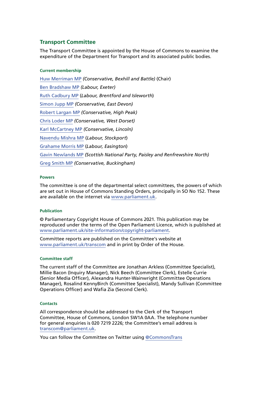#### **Transport Committee**

The Transport Committee is appointed by the House of Commons to examine the expenditure of the Department for Transport and its associated public bodies.

#### **Current membership**

[Huw Merriman MP](https://members.parliament.uk/member/4442/contact) *(Conservative, Bexhill and Battle)* (Chair) [Ben Bradshaw MP](https://members.parliament.uk/member/230/contact) *(Labour, Exeter)* [Ruth Cadbury MP](https://members.parliament.uk/member/4389/contact) (*Labour, Brentford and Isleworth*) [Simon Jupp MP](https://members.parliament.uk/member/4862/contact) *(Conservative, East Devon)* [Robert Largan MP](https://members.parliament.uk/member/4852/contact) *(Conservative, High Peak)* [Chris Loder MP](https://members.parliament.uk/member/4751/contact) *(Conservative, West Dorset)* [Karl McCartney MP](https://members.parliament.uk/member/4028/contact) *(Conservative, Lincoln)* [Navendu Mishra MP](https://members.parliament.uk/member/4811/contact) (*Labour, Stockport*) [Grahame Morris MP](https://www.parliament.uk/biographies/commons/grahame-morris/3973) (*Labour, Easington*) [Gavin Newlands MP](https://members.parliament.uk/member/4420/contact) *(Scottish National Party, Paisley and Renfrewshire North)* [Greg Smith MP](https://members.parliament.uk/member/4778/contact) *(Conservative, Buckingham)*

#### **Powers**

The committee is one of the departmental select committees, the powers of which are set out in House of Commons Standing Orders, principally in SO No 152. These are available on the internet via [www.parliament.uk.](http://www.parliament.uk/)

#### **Publication**

© Parliamentary Copyright House of Commons 2021. This publication may be reproduced under the terms of the Open Parliament Licence, which is published at [www.parliament.uk/site-information/copyright-parliament.](http://www.parliament.uk/site-information/copyright-parliament)

Committee reports are published on the Committee's website at [www.parliament.uk/transcom](http://www.parliament.uk/transcom) and in print by Order of the House.

#### **Committee staff**

The current staff of the Committee are Jonathan Arkless (Committee Specialist), Millie Bacon (Inquiry Manager), Nick Beech (Committee Clerk), Estelle Currie (Senior Media Officer), Alexandra Hunter-Wainwright (Committee Operations Manager), Rosalind KennyBirch (Committee Specialist), Mandy Sullivan (Committee Operations Officer) and Wafia Zia (Second Clerk).

#### **Contacts**

All correspondence should be addressed to the Clerk of the Transport Committee, House of Commons, London SW1A 0AA. The telephone number for general enquiries is 020 7219 2226; the Committee's email address is [transcom@parliament.uk.](mailto:transcom%40parliament.uk?subject=)

You can follow the Committee on Twitter using [@CommonsTrans](https://twitter.com/CommonsTrans)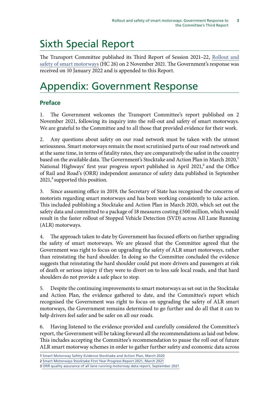## Sixth Special Report

The Transport Committee published its Third Report of Session 2021–22, [Rollout and](https://publications.parliament.uk/pa/cm5802/cmselect/cmtrans/26/report.html) [safety of smart motorways](https://publications.parliament.uk/pa/cm5802/cmselect/cmtrans/26/report.html) (HC 26) on 2 November 2021. The Government's response was received on 10 January 2022 and is appended to this Report.

## Appendix: Government Response

## **Preface**

1. The Government welcomes the Transport Committee's report published on 2 November 2021, following its inquiry into the roll-out and safety of smart motorways. We are grateful to the Committee and to all those that provided evidence for their work.

2. Any questions about safety on our road network must be taken with the utmost seriousness. Smart motorways remain the most scrutinised parts of our road network and at the same time, in terms of fatality rates, they are comparatively the safest in the country based on the available data. The Government's Stocktake and Action Plan in March 2020,<sup>1</sup> National Highways' first year progress report published in April 2021,<sup>2</sup> and the Office of Rail and Road's (ORR) independent assurance of safety data published in September  $2021$ ,<sup>3</sup> supported this position.

3. Since assuming office in 2019, the Secretary of State has recognised the concerns of motorists regarding smart motorways and has been working consistently to take action. This included publishing a Stocktake and Action Plan in March 2020, which set out the safety data and committed to a package of 18 measures costing £500 million, which would result in the faster rollout of Stopped Vehicle Detection (SVD) across All Lane Running (ALR) motorways.

4. The approach taken to date by Government has focused efforts on further upgrading the safety of smart motorways. We are pleased that the Committee agreed that the Government was right to focus on upgrading the safety of ALR smart motorways, rather than reinstating the hard shoulder. In doing so the Committee concluded the evidence suggests that reinstating the hard shoulder could put more drivers and passengers at risk of death or serious injury if they were to divert on to less safe local roads, and that hard shoulders do not provide a safe place to stop.

5. Despite the continuing improvements to smart motorways as set out in the Stocktake and Action Plan, the evidence gathered to date, and the Committee's report which recognised the Government was right to focus on upgrading the safety of ALR smart motorways, the Government remains determined to go further and do all that it can to help drivers feel safer and be safer on all our roads.

6. Having listened to the evidence provided and carefully considered the Committee's report, the Government will be taking forward all the recommendations as laid out below. This includes accepting the Committee's recommendation to pause the roll out of future ALR smart motorway schemes in order to gather further safety and economic data across

<sup>1</sup> [Smart Motorway Safety Evidence Stocktake and Action Plan, March 2020](https://www.gov.uk/government/publications/smart-motorway-evidence-stocktake-and-action-plan)

<sup>2</sup> [Smart Motorways Stocktake First Year Progress Report 2021, March 2021](https://www.gov.uk/government/speeches/highways-england-first-year-progress-report-on-smart-motorways-stocktake)

<sup>3</sup> [ORR quality assurance of all lane running motorway data report, September 2021](https://www.gov.uk/government/publications/orr-quality-assurance-of-all-lane-running-motorway-data-report)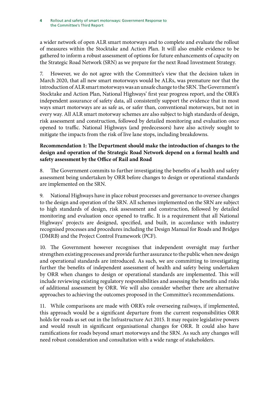Rollout and safety of smart motorways: Government Response to the Committee's Third Report **4**

a wider network of open ALR smart motorways and to complete and evaluate the rollout of measures within the Stocktake and Action Plan. It will also enable evidence to be gathered to inform a robust assessment of options for future enhancements of capacity on the Strategic Road Network (SRN) as we prepare for the next Road Investment Strategy.

7. However, we do not agree with the Committee's view that the decision taken in March 2020, that all new smart motorways would be ALRs, was premature nor that the introduction of ALR smart motorways was an unsafe change to the SRN. The Government's Stocktake and Action Plan, National Highways' first year progress report, and the ORR's independent assurance of safety data, all consistently support the evidence that in most ways smart motorways are as safe as, or safer than, conventional motorways, but not in every way. All ALR smart motorway schemes are also subject to high standards of design, risk assessment and construction, followed by detailed monitoring and evaluation once opened to traffic. National Highways (and predecessors) have also actively sought to mitigate the impacts from the risk of live lane stops, including breakdowns.

### **Recommendation 1: The Department should make the introduction of changes to the design and operation of the Strategic Road Network depend on a formal health and safety assessment by the Office of Rail and Road**

8. The Government commits to further investigating the benefits of a health and safety assessment being undertaken by ORR before changes to design or operational standards are implemented on the SRN.

9. National Highways have in place robust processes and governance to oversee changes to the design and operation of the SRN. All schemes implemented on the SRN are subject to high standards of design, risk assessment and construction, followed by detailed monitoring and evaluation once opened to traffic. It is a requirement that all National Highways' projects are designed, specified, and built, in accordance with industry recognised processes and procedures including the Design Manual for Roads and Bridges (DMRB) and the Project Control Framework (PCF).

10. The Government however recognises that independent oversight may further strengthen existing processes and provide further assurance to the public when new design and operational standards are introduced. As such, we are committing to investigating further the benefits of independent assessment of health and safety being undertaken by ORR when changes to design or operational standards are implemented. This will include reviewing existing regulatory responsibilities and assessing the benefits and risks of additional assessment by ORR. We will also consider whether there are alternative approaches to achieving the outcomes proposed in the Committee's recommendations.

11. While comparisons are made with ORR's role overseeing railways, if implemented, this approach would be a significant departure from the current responsibilities ORR holds for roads as set out in the Infrastructure Act 2015. It may require legislative powers and would result in significant organisational changes for ORR. It could also have ramifications for roads beyond smart motorways and the SRN. As such any changes will need robust consideration and consultation with a wide range of stakeholders.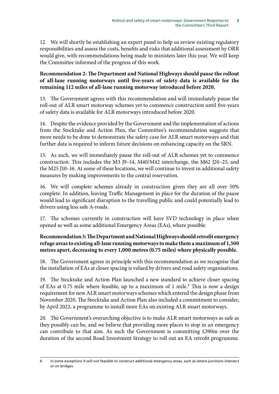12. We will shortly be establishing an expert panel to help us review existing regulatory responsibilities and assess the costs, benefits and risks that additional assessment by ORR would give, with recommendations being made to ministers later this year. We will keep the Committee informed of the progress of this work.

### **Recommendation 2: The Department and National Highways should pause the rollout of all-lane running motorways until five-years of safety data is available for the remaining 112 miles of all-lane running motorway introduced before 2020.**

13. The Government agrees with this recommendation and will immediately pause the roll-out of ALR smart motorway schemes yet to commence construction until five-years of safety data is available for ALR motorways introduced before 2020.

14. Despite the evidence provided by the Government and the implementation of actions from the Stocktake and Action Plan, the Committee's recommendation suggests that more needs to be done to demonstrate the safety case for ALR smart motorways and that further data is required to inform future decisions on enhancing capacity on the SRN.

15. As such, we will immediately pause the roll-out of ALR schemes yet to commence construction. This includes the M3 J9–14, M40/M42 interchange, the M62 J20–25, and the M25 J10–16. At some of these locations, we will continue to invest in additional safety measures by making improvements to the central reservation.

16. We will complete schemes already in construction given they are all over 50% complete. In addition, leaving Traffic Management in place for the duration of the pause would lead to significant disruption to the travelling public and could potentially lead to drivers using less safe A-roads.

17. The schemes currently in construction will have SVD technology in place when opened as well as some additional Emergency Areas (EAs), where possible.

## **Recommendation 3: The Department and National Highways should retrofit emergency refuge areas to existing all-lane running motorways to make them a maximum of 1,500 metres apart, decreasing to every 1,000 metres (0.75 miles) where physically possible.**

18. The Government agrees in principle with this recommendation as we recognise that the installation of EAs at closer spacing is valued by drivers and road safety organisations.

19. The Stocktake and Action Plan launched a new standard to achieve closer spacing of EAs at 0.75 mile where feasible, up to a maximum of 1 mile.<sup>4</sup> This is now a design requirement for new ALR smart motorways schemes which entered the design phase from November 2020. The Stocktake and Action Plan also included a commitment to consider, by April 2022, a programme to install more EAs on existing ALR smart motorways.

20. The Government's overarching objective is to make ALR smart motorways as safe as they possibly can be, and we believe that providing more places to stop in an emergency can contribute to that aim. As such the Government is committing £390m over the duration of the second Road Investment Strategy to roll out an EA retrofit programme.

<sup>4</sup> In some exceptions it will not feasible to construct additional emergency areas, such as where junctions intersect or on bridges.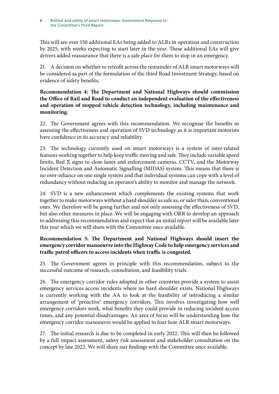#### Rollout and safety of smart motorways: Government Response to the Committee's Third Report **6**

This will see over 150 additional EAs being added to ALRs in operation and construction by 2025, with works expecting to start later in the year. These additional EAs will give drivers added reassurance that there is a safe place for them to stop in an emergency.

21. A decision on whether to retrofit across the remainder of ALR smart motorways will be considered as part of the formulation of the third Road Investment Strategy, based on evidence of safety benefits.

### **Recommendation 4: The Department and National Highways should commission the Office of Rail and Road to conduct an independent evaluation of the effectiveness and operation of stopped vehicle detection technology, including maintenance and monitoring.**

22. The Government agrees with this recommendation. We recognise the benefits in assessing the effectiveness and operation of SVD technology as it is important motorists have confidence in its accuracy and reliability.

23. The technology currently used on smart motorways is a system of inter-related features working together to help keep traffic moving and safe. They include variable speed limits, Red X signs to close lanes and enforcement cameras, CCTV, and the Motorway Incident Detection and Automatic Signalling (MIDAS) system. This means that there is no over-reliance on one single system and that individual systems can cope with a level of redundancy without reducing an operator's ability to monitor and manage the network.

24. SVD is a new enhancement which complements the existing systems that work together to make motorways without a hard shoulder as safe as, or safer than, conventional ones. We therefore will be going further and not only assessing the effectiveness of SVD, but also other measures in place. We will be engaging with ORR to develop an approach to addressing this recommendation and expect that an initial report will be available later this year which we will share with the Committee once available.

## **Recommendation 5: The Department and National Highways should insert the emergency corridor manoeuvre into the Highway Code to help emergency services and traffic patrol officers to access incidents when traffic is congested.**

25. The Government agrees in principle with this recommendation, subject to the successful outcome of research, consultation, and feasibility trials.

26. The emergency corridor rules adopted in other countries provide a system to assist emergency services access incidents where no hard shoulder exists. National Highways is currently working with the AA to look at the feasibility of introducing a similar arrangement of 'proactive' emergency corridors. This involves investigating how well emergency corridors work, what benefits they could provide in reducing incident access times, and any potential disadvantages. An area of focus will be understanding how the emergency corridor manoeuvre would be applied to four lane ALR smart motorways.

27. The initial research is due to be completed in early 2022. This will then be followed by a full impact assessment, safety risk assessment and stakeholder consultation on the concept by late 2022. We will share our findings with the Committee once available.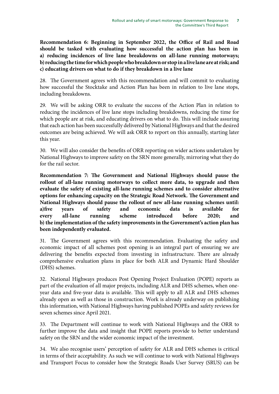**Recommendation 6: Beginning in September 2022, the Office of Rail and Road should be tasked with evaluating how successful the action plan has been in a) reducing incidences of live lane breakdowns on all-lane running motorways; b) reducing the time for which people who breakdown or stop in a live lane are at risk; and c) educating drivers on what to do if they breakdown in a live lane**

28. The Government agrees with this recommendation and will commit to evaluating how successful the Stocktake and Action Plan has been in relation to live lane stops, including breakdowns.

29. We will be asking ORR to evaluate the success of the Action Plan in relation to reducing the incidences of live lane stops including breakdowns, reducing the time for which people are at risk, and educating drivers on what to do. This will include assuring that each action has been successfully delivered by National Highways and that the desired outcomes are being achieved. We will ask ORR to report on this annually, starting later this year.

30. We will also consider the benefits of ORR reporting on wider actions undertaken by National Highways to improve safety on the SRN more generally, mirroring what they do for the rail sector.

**Recommendation 7: The Government and National Highways should pause the rollout of all-lane running motorways to collect more data, to upgrade and then evaluate the safety of existing all-lane running schemes and to consider alternative options for enhancing capacity on the Strategic Road Network. The Government and National Highways should pause the rollout of new all-lane running schemes until: a)five years of safety and economic data is available for every all-lane running scheme introduced before 2020; and b) the implementation of the safety improvements in the Government's action plan has been independently evaluated.**

31. The Government agrees with this recommendation. Evaluating the safety and economic impact of all schemes post opening is an integral part of ensuring we are delivering the benefits expected from investing in infrastructure. There are already comprehensive evaluation plans in place for both ALR and Dynamic Hard Shoulder (DHS) schemes.

32. National Highways produces Post Opening Project Evaluation (POPE) reports as part of the evaluation of all major projects, including ALR and DHS schemes, when oneyear data and five-year data is available. This will apply to all ALR and DHS schemes already open as well as those in construction. Work is already underway on publishing this information, with National Highways having published POPEs and safety reviews for seven schemes since April 2021.

33. The Department will continue to work with National Highways and the ORR to further improve the data and insight that POPE reports provide to better understand safety on the SRN and the wider economic impact of the investment.

34. We also recognise users' perception of safety for ALR and DHS schemes is critical in terms of their acceptability. As such we will continue to work with National Highways and Transport Focus to consider how the Strategic Roads User Survey (SRUS) can be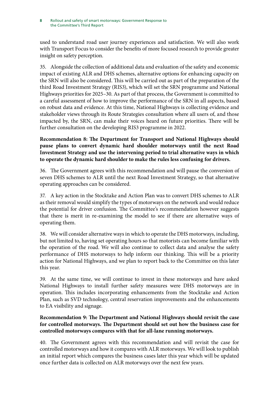#### Rollout and safety of smart motorways: Government Response to the Committee's Third Report **8**

used to understand road user journey experiences and satisfaction. We will also work with Transport Focus to consider the benefits of more focused research to provide greater insight on safety perception.

35. Alongside the collection of additional data and evaluation of the safety and economic impact of existing ALR and DHS schemes, alternative options for enhancing capacity on the SRN will also be considered. This will be carried out as part of the preparation of the third Road Investment Strategy (RIS3), which will set the SRN programme and National Highways priorities for 2025–30. As part of that process, the Government is committed to a careful assessment of how to improve the performance of the SRN in all aspects, based on robust data and evidence. At this time, National Highways is collecting evidence and stakeholder views through its Route Strategies consultation where all users of, and those impacted by, the SRN, can make their voices heard on future priorities. There will be further consultation on the developing RIS3 programme in 2022.

### **Recommendation 8: The Department for Transport and National Highways should pause plans to convert dynamic hard shoulder motorways until the next Road Investment Strategy and use the intervening period to trial alternative ways in which to operate the dynamic hard shoulder to make the rules less confusing for drivers.**

36. The Government agrees with this recommendation and will pause the conversion of seven DHS schemes to ALR until the next Road Investment Strategy, so that alternative operating approaches can be considered.

37. A key action in the Stocktake and Action Plan was to convert DHS schemes to ALR as their removal would simplify the types of motorways on the network and would reduce the potential for driver confusion. The Committee's recommendation however suggests that there is merit in re-examining the model to see if there are alternative ways of operating them.

38. We will consider alternative ways in which to operate the DHS motorways, including, but not limited to, having set operating hours so that motorists can become familiar with the operation of the road. We will also continue to collect data and analyse the safety performance of DHS motorways to help inform our thinking. This will be a priority action for National Highways, and we plan to report back to the Committee on this later this year.

39. At the same time, we will continue to invest in these motorways and have asked National Highways to install further safety measures were DHS motorways are in operation. This includes incorporating enhancements from the Stocktake and Action Plan, such as SVD technology, central reservation improvements and the enhancements to EA visibility and signage.

#### **Recommendation 9: The Department and National Highways should revisit the case for controlled motorways. The Department should set out how the business case for controlled motorways compares with that for all-lane running motorways.**

40. The Government agrees with this recommendation and will revisit the case for controlled motorways and how it compares with ALR motorways. We will look to publish an initial report which compares the business cases later this year which will be updated once further data is collected on ALR motorways over the next few years.